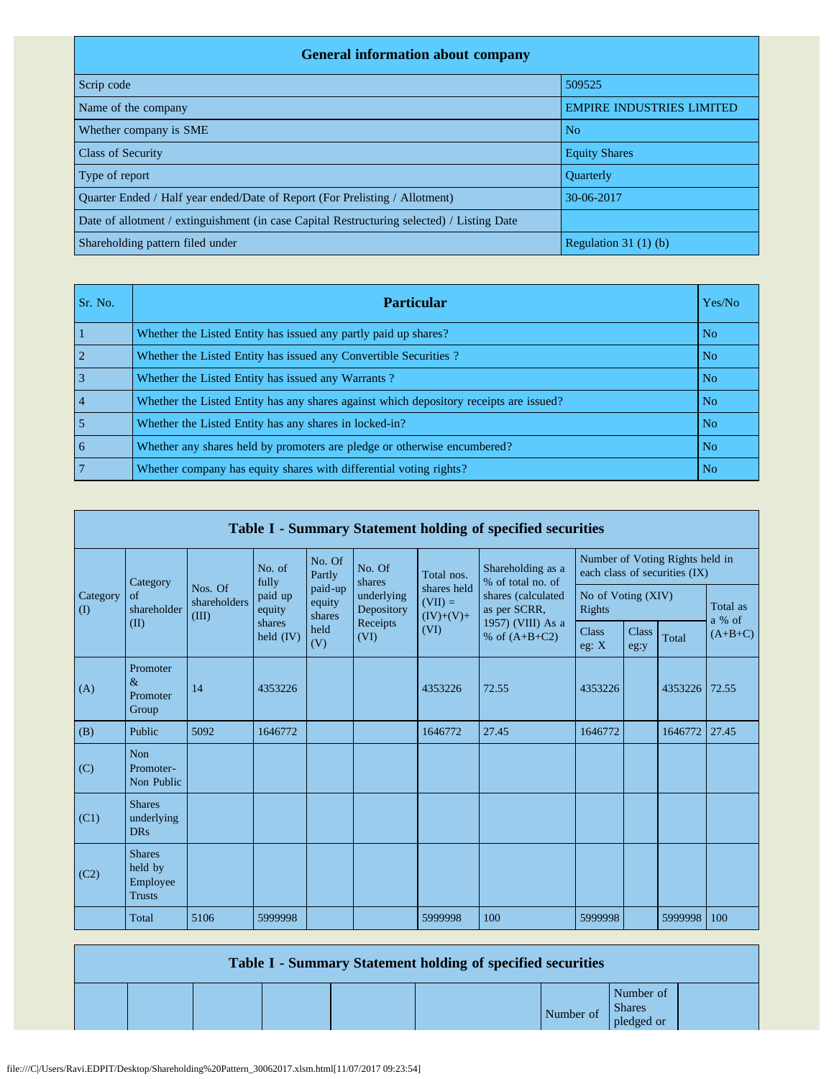| <b>General information about company</b>                                                   |                                  |  |  |  |  |  |  |  |  |  |
|--------------------------------------------------------------------------------------------|----------------------------------|--|--|--|--|--|--|--|--|--|
| Scrip code                                                                                 | 509525                           |  |  |  |  |  |  |  |  |  |
| Name of the company                                                                        | <b>EMPIRE INDUSTRIES LIMITED</b> |  |  |  |  |  |  |  |  |  |
| Whether company is SME                                                                     | N <sub>o</sub>                   |  |  |  |  |  |  |  |  |  |
| <b>Class of Security</b>                                                                   | <b>Equity Shares</b>             |  |  |  |  |  |  |  |  |  |
| Type of report                                                                             | <b>Ouarterly</b>                 |  |  |  |  |  |  |  |  |  |
| Ouarter Ended / Half year ended/Date of Report (For Prelisting / Allotment)                | 30-06-2017                       |  |  |  |  |  |  |  |  |  |
| Date of allotment / extinguishment (in case Capital Restructuring selected) / Listing Date |                                  |  |  |  |  |  |  |  |  |  |
| Shareholding pattern filed under                                                           | Regulation $31(1)(b)$            |  |  |  |  |  |  |  |  |  |

| Sr. No.        | <b>Particular</b>                                                                      | Yes/No         |
|----------------|----------------------------------------------------------------------------------------|----------------|
|                | Whether the Listed Entity has issued any partly paid up shares?                        | N <sub>o</sub> |
|                | Whether the Listed Entity has issued any Convertible Securities?                       | N <sub>o</sub> |
|                | Whether the Listed Entity has issued any Warrants?                                     | N <sub>o</sub> |
| $\overline{4}$ | Whether the Listed Entity has any shares against which depository receipts are issued? | N <sub>o</sub> |
|                | Whether the Listed Entity has any shares in locked-in?                                 | N <sub>o</sub> |
| 6              | Whether any shares held by promoters are pledge or otherwise encumbered?               | N <sub>o</sub> |
|                | Whether company has equity shares with differential voting rights?                     | N <sub>0</sub> |

| Table I - Summary Statement holding of specified securities |                                                       |                                  |                       |                             |                                              |                                                 |                                                                            |                                                                  |                      |         |                      |  |
|-------------------------------------------------------------|-------------------------------------------------------|----------------------------------|-----------------------|-----------------------------|----------------------------------------------|-------------------------------------------------|----------------------------------------------------------------------------|------------------------------------------------------------------|----------------------|---------|----------------------|--|
|                                                             | Category                                              |                                  | No. of<br>fully       | No. Of<br>Partly            | No. Of<br>shares                             | Total nos.                                      | Shareholding as a<br>% of total no. of                                     | Number of Voting Rights held in<br>each class of securities (IX) |                      |         |                      |  |
| Category<br>$\rm (I)$                                       | of<br>shareholder                                     | Nos. Of<br>shareholders<br>(III) | paid up<br>equity     | paid-up<br>equity<br>shares | underlying<br>Depository<br>Receipts<br>(VI) | shares held<br>$(VII) =$<br>$(IV)+(V)+$<br>(VI) | shares (calculated<br>as per SCRR,<br>1957) (VIII) As a<br>% of $(A+B+C2)$ | No of Voting (XIV)<br>Rights                                     |                      |         | Total as<br>$a\%$ of |  |
|                                                             | (II)                                                  |                                  | shares<br>held $(IV)$ | held<br>(V)                 |                                              |                                                 |                                                                            | <b>Class</b><br>eg: $X$                                          | <b>Class</b><br>eg:y | Total   | $(A+B+C)$            |  |
| (A)                                                         | Promoter<br>$\&$<br>Promoter<br>Group                 | 14                               | 4353226               |                             |                                              | 4353226                                         | 72.55                                                                      | 4353226                                                          |                      | 4353226 | 72.55                |  |
| (B)                                                         | Public                                                | 5092                             | 1646772               |                             |                                              | 1646772                                         | 27.45                                                                      | 1646772                                                          |                      | 1646772 | 27.45                |  |
| (C)                                                         | Non<br>Promoter-<br>Non Public                        |                                  |                       |                             |                                              |                                                 |                                                                            |                                                                  |                      |         |                      |  |
| (C1)                                                        | <b>Shares</b><br>underlying<br><b>DRs</b>             |                                  |                       |                             |                                              |                                                 |                                                                            |                                                                  |                      |         |                      |  |
| (C2)                                                        | <b>Shares</b><br>held by<br>Employee<br><b>Trusts</b> |                                  |                       |                             |                                              |                                                 |                                                                            |                                                                  |                      |         |                      |  |
|                                                             | Total                                                 | 5106                             | 5999998               |                             |                                              | 5999998                                         | 100                                                                        | 5999998                                                          |                      | 5999998 | 100                  |  |

| Table I - Summary Statement holding of specified securities |  |  |  |  |           |                                          |  |  |  |  |
|-------------------------------------------------------------|--|--|--|--|-----------|------------------------------------------|--|--|--|--|
|                                                             |  |  |  |  | Number of | Number of<br><b>Shares</b><br>pledged or |  |  |  |  |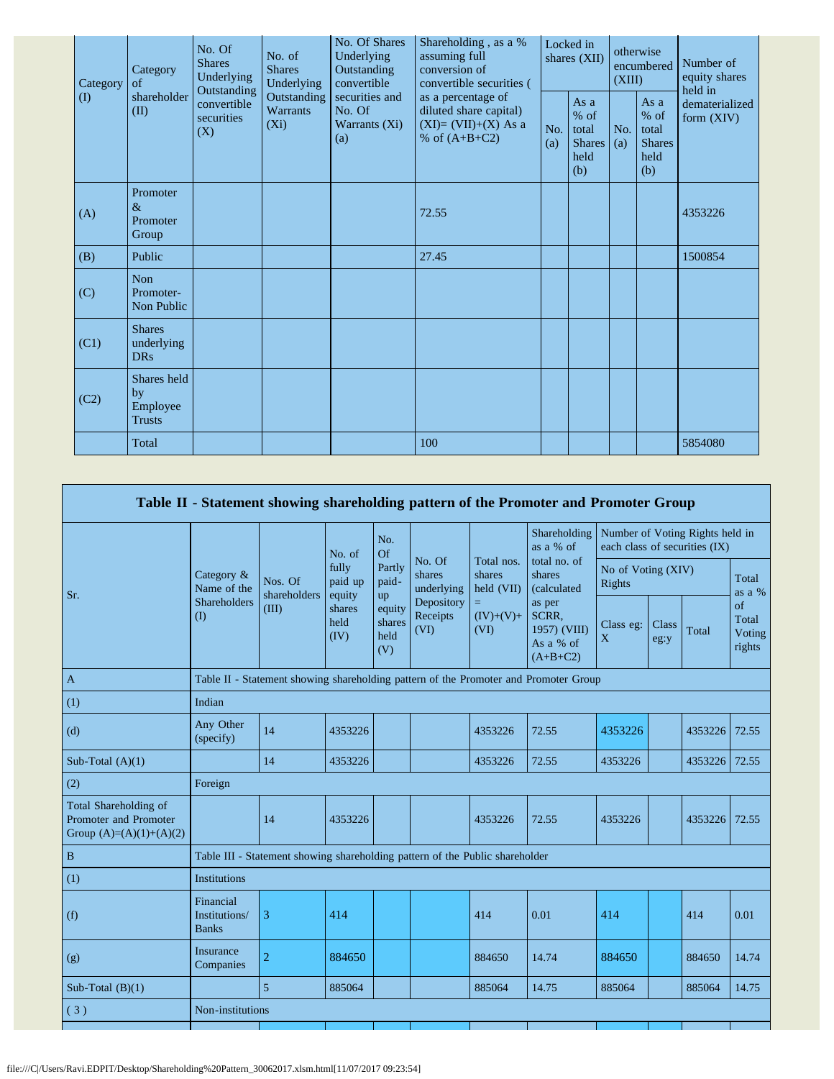| Category | Category<br>of                                 | Shareholding, as a %<br>No. Of<br>Underlying<br>assuming full<br>No. of<br><b>Shares</b><br><b>Shares</b><br>conversion of<br>Outstanding<br>Underlying<br>Underlying<br>convertible<br>Outstanding<br>Outstanding<br>securities and<br>as a percentage of<br>convertible<br><b>Warrants</b><br>No. Of<br>securities<br>$(X_i)$<br>Warrants (Xi)<br>(X)<br>% of $(A+B+C2)$<br>(a) | No. Of Shares                                   | convertible securities ( | Locked in<br>shares (XII)                               |            | otherwise<br>encumbered<br>(XIII)                       |                                | Number of<br>equity shares<br>held in |
|----------|------------------------------------------------|-----------------------------------------------------------------------------------------------------------------------------------------------------------------------------------------------------------------------------------------------------------------------------------------------------------------------------------------------------------------------------------|-------------------------------------------------|--------------------------|---------------------------------------------------------|------------|---------------------------------------------------------|--------------------------------|---------------------------------------|
| $\rm(D)$ | shareholder<br>(II)                            |                                                                                                                                                                                                                                                                                                                                                                                   | diluted share capital)<br>$(XI)=(VII)+(X) As a$ | No.<br>(a)               | As a<br>$%$ of<br>total<br><b>Shares</b><br>held<br>(b) | No.<br>(a) | As a<br>$%$ of<br>total<br><b>Shares</b><br>held<br>(b) | dematerialized<br>form $(XIV)$ |                                       |
| (A)      | Promoter<br>&<br>Promoter<br>Group             |                                                                                                                                                                                                                                                                                                                                                                                   |                                                 | 72.55                    |                                                         |            |                                                         |                                | 4353226                               |
| (B)      | Public                                         |                                                                                                                                                                                                                                                                                                                                                                                   |                                                 | 27.45                    |                                                         |            |                                                         |                                | 1500854                               |
| (C)      | Non<br>Promoter-<br>Non Public                 |                                                                                                                                                                                                                                                                                                                                                                                   |                                                 |                          |                                                         |            |                                                         |                                |                                       |
| (C1)     | <b>Shares</b><br>underlying<br><b>DRs</b>      |                                                                                                                                                                                                                                                                                                                                                                                   |                                                 |                          |                                                         |            |                                                         |                                |                                       |
| (C2)     | Shares held<br>by<br>Employee<br><b>Trusts</b> |                                                                                                                                                                                                                                                                                                                                                                                   |                                                 |                          |                                                         |            |                                                         |                                |                                       |
|          | Total                                          |                                                                                                                                                                                                                                                                                                                                                                                   |                                                 | 100                      |                                                         |            |                                                         |                                | 5854080                               |

|                                                                             |                                            |                                                                                      |                                                      |                                 |                                |                                    | Table II - Statement showing shareholding pattern of the Promoter and Promoter Group                |                              |                                                                  |               |                                 |  |
|-----------------------------------------------------------------------------|--------------------------------------------|--------------------------------------------------------------------------------------|------------------------------------------------------|---------------------------------|--------------------------------|------------------------------------|-----------------------------------------------------------------------------------------------------|------------------------------|------------------------------------------------------------------|---------------|---------------------------------|--|
|                                                                             |                                            |                                                                                      | No. of                                               | No.<br>Of                       |                                |                                    | Shareholding<br>as a % of                                                                           |                              | Number of Voting Rights held in<br>each class of securities (IX) |               |                                 |  |
| Sr.                                                                         | Category &<br>Name of the                  | Nos. Of<br>shareholders<br>(III)                                                     | fully<br>paid up<br>equity<br>shares<br>held<br>(IV) | Partly<br>paid-<br>up           | No. Of<br>shares<br>underlying | Total nos.<br>shares<br>held (VII) | total no. of<br>shares<br>(calculated<br>as per<br>SCRR,<br>1957) (VIII)<br>As a % of<br>$(A+B+C2)$ | No of Voting (XIV)<br>Rights |                                                                  |               | Total<br>as a %                 |  |
|                                                                             | Shareholders<br>(1)                        |                                                                                      |                                                      | equity<br>shares<br>held<br>(V) | Depository<br>Receipts<br>(VI) | $=$<br>$(IV)+(V)+$<br>(VI)         |                                                                                                     | Class eg:<br>X               | Class<br>eg:y                                                    | Total         | of<br>Total<br>Voting<br>rights |  |
| $\mathbf{A}$                                                                |                                            | Table II - Statement showing shareholding pattern of the Promoter and Promoter Group |                                                      |                                 |                                |                                    |                                                                                                     |                              |                                                                  |               |                                 |  |
| (1)                                                                         | Indian                                     |                                                                                      |                                                      |                                 |                                |                                    |                                                                                                     |                              |                                                                  |               |                                 |  |
| (d)                                                                         | Any Other<br>(specify)                     | 14                                                                                   | 4353226                                              |                                 |                                | 4353226                            | 72.55                                                                                               | 4353226                      |                                                                  | 4353226       | 72.55                           |  |
| Sub-Total $(A)(1)$                                                          |                                            | 14                                                                                   | 4353226                                              |                                 |                                | 4353226                            | 72.55                                                                                               | 4353226                      |                                                                  | 4353226 72.55 |                                 |  |
| (2)                                                                         | Foreign                                    |                                                                                      |                                                      |                                 |                                |                                    |                                                                                                     |                              |                                                                  |               |                                 |  |
| Total Shareholding of<br>Promoter and Promoter<br>Group $(A)=(A)(1)+(A)(2)$ |                                            | 14                                                                                   | 4353226                                              |                                 |                                | 4353226                            | 72.55                                                                                               | 4353226                      |                                                                  | 4353226       | 72.55                           |  |
| $\, {\bf B}$                                                                |                                            | Table III - Statement showing shareholding pattern of the Public shareholder         |                                                      |                                 |                                |                                    |                                                                                                     |                              |                                                                  |               |                                 |  |
| (1)                                                                         | <b>Institutions</b>                        |                                                                                      |                                                      |                                 |                                |                                    |                                                                                                     |                              |                                                                  |               |                                 |  |
| (f)                                                                         | Financial<br>Institutions/<br><b>Banks</b> | 3                                                                                    | 414                                                  |                                 |                                | 414                                | 0.01                                                                                                | 414                          |                                                                  | 414           | 0.01                            |  |
| (g)                                                                         | Insurance<br>Companies                     | $\overline{2}$                                                                       | 884650                                               |                                 |                                | 884650                             | 14.74                                                                                               | 884650                       |                                                                  | 884650        | 14.74                           |  |
| Sub-Total $(B)(1)$                                                          |                                            | $\overline{5}$                                                                       | 885064                                               |                                 |                                | 885064                             | 14.75                                                                                               | 885064                       |                                                                  | 885064        | 14.75                           |  |
| (3)                                                                         | Non-institutions                           |                                                                                      |                                                      |                                 |                                |                                    |                                                                                                     |                              |                                                                  |               |                                 |  |
|                                                                             |                                            |                                                                                      |                                                      |                                 |                                |                                    |                                                                                                     |                              |                                                                  |               |                                 |  |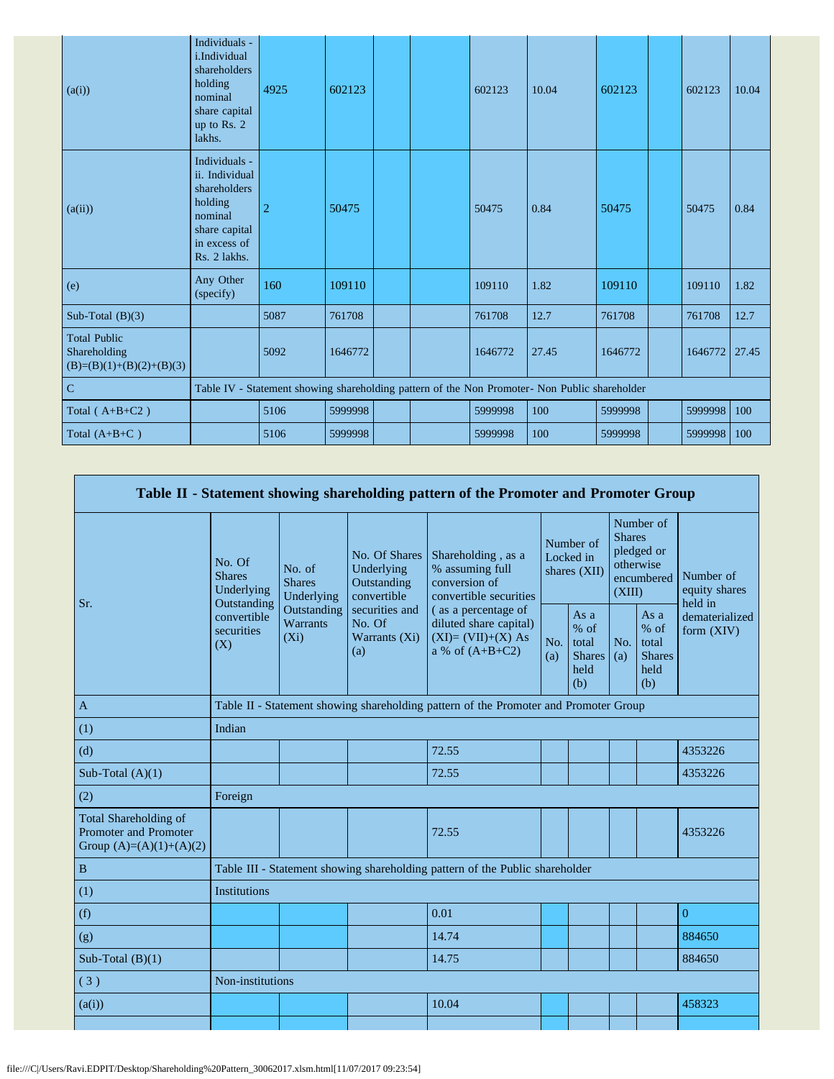| (a(i))                                                            | Individuals -<br>i.Individual<br>shareholders<br>holding<br>nominal<br>share capital<br>up to Rs. 2<br>lakhs.          | 4925           | 602123  |  | 602123  | 10.04                                                                                         | 602123  | 602123        | 10.04 |
|-------------------------------------------------------------------|------------------------------------------------------------------------------------------------------------------------|----------------|---------|--|---------|-----------------------------------------------------------------------------------------------|---------|---------------|-------|
| (a(ii))                                                           | Individuals -<br>ii. Individual<br>shareholders<br>holding<br>nominal<br>share capital<br>in excess of<br>Rs. 2 lakhs. | $\overline{2}$ | 50475   |  | 50475   | 0.84                                                                                          | 50475   | 50475         | 0.84  |
| (e)                                                               | Any Other<br>(specify)                                                                                                 | 160            | 109110  |  | 109110  | 1.82                                                                                          | 109110  | 109110        | 1.82  |
| Sub-Total $(B)(3)$                                                |                                                                                                                        | 5087           | 761708  |  | 761708  | 12.7                                                                                          | 761708  | 761708        | 12.7  |
| <b>Total Public</b><br>Shareholding<br>$(B)=(B)(1)+(B)(2)+(B)(3)$ |                                                                                                                        | 5092           | 1646772 |  | 1646772 | 27.45                                                                                         | 1646772 | 1646772 27.45 |       |
| $\overline{C}$                                                    |                                                                                                                        |                |         |  |         | Table IV - Statement showing shareholding pattern of the Non Promoter- Non Public shareholder |         |               |       |
| Total $(A+B+C2)$                                                  |                                                                                                                        | 5106           | 5999998 |  | 5999998 | 100                                                                                           | 5999998 | 5999998       | 100   |
| Total $(A+B+C)$                                                   |                                                                                                                        | 5106           | 5999998 |  | 5999998 | 100                                                                                           | 5999998 | 5999998       | 100   |

| Table II - Statement showing shareholding pattern of the Promoter and Promoter Group |                                                      |                                           |                                                           |                                                                                           |                                        |                                                         |                                                                               |                                                         |                                       |  |
|--------------------------------------------------------------------------------------|------------------------------------------------------|-------------------------------------------|-----------------------------------------------------------|-------------------------------------------------------------------------------------------|----------------------------------------|---------------------------------------------------------|-------------------------------------------------------------------------------|---------------------------------------------------------|---------------------------------------|--|
|                                                                                      | No. Of<br><b>Shares</b><br>Underlying<br>Outstanding | No. of<br><b>Shares</b><br>Underlying     | No. Of Shares<br>Underlying<br>Outstanding<br>convertible | Shareholding, as a<br>% assuming full<br>conversion of<br>convertible securities          | Number of<br>Locked in<br>shares (XII) |                                                         | Number of<br><b>Shares</b><br>pledged or<br>otherwise<br>encumbered<br>(XIII) |                                                         | Number of<br>equity shares<br>held in |  |
| Sr.                                                                                  | convertible<br>securities<br>(X)                     | Outstanding<br><b>Warrants</b><br>$(X_i)$ | securities and<br>No. Of<br>Warrants (Xi)<br>(a)          | (as a percentage of<br>diluted share capital)<br>$(XI)=(VII)+(X) As$<br>a % of $(A+B+C2)$ |                                        | As a<br>$%$ of<br>total<br><b>Shares</b><br>held<br>(b) | No.<br>(a)                                                                    | As a<br>$%$ of<br>total<br><b>Shares</b><br>held<br>(b) | dematerialized<br>form $(XIV)$        |  |
| $\mathbf{A}$                                                                         |                                                      |                                           |                                                           | Table II - Statement showing shareholding pattern of the Promoter and Promoter Group      |                                        |                                                         |                                                                               |                                                         |                                       |  |
| (1)                                                                                  | Indian                                               |                                           |                                                           |                                                                                           |                                        |                                                         |                                                                               |                                                         |                                       |  |
| (d)                                                                                  |                                                      |                                           |                                                           | 72.55                                                                                     |                                        |                                                         |                                                                               |                                                         | 4353226                               |  |
| Sub-Total $(A)(1)$                                                                   |                                                      |                                           |                                                           | 72.55                                                                                     |                                        |                                                         |                                                                               |                                                         | 4353226                               |  |
| (2)                                                                                  | Foreign                                              |                                           |                                                           |                                                                                           |                                        |                                                         |                                                                               |                                                         |                                       |  |
| Total Shareholding of<br>Promoter and Promoter<br>Group $(A)=(A)(1)+(A)(2)$          |                                                      |                                           |                                                           | 72.55                                                                                     |                                        |                                                         |                                                                               |                                                         | 4353226                               |  |
| $\, {\bf B}$                                                                         |                                                      |                                           |                                                           | Table III - Statement showing shareholding pattern of the Public shareholder              |                                        |                                                         |                                                                               |                                                         |                                       |  |
| (1)                                                                                  | <b>Institutions</b>                                  |                                           |                                                           |                                                                                           |                                        |                                                         |                                                                               |                                                         |                                       |  |
| (f)                                                                                  |                                                      |                                           |                                                           | 0.01                                                                                      |                                        |                                                         |                                                                               |                                                         | $\overline{0}$                        |  |
| (g)                                                                                  |                                                      |                                           |                                                           | 14.74                                                                                     |                                        |                                                         |                                                                               |                                                         | 884650                                |  |
| Sub-Total $(B)(1)$                                                                   |                                                      |                                           |                                                           | 14.75                                                                                     |                                        |                                                         |                                                                               |                                                         | 884650                                |  |
| (3)                                                                                  | Non-institutions                                     |                                           |                                                           |                                                                                           |                                        |                                                         |                                                                               |                                                         |                                       |  |
| (a(i))                                                                               |                                                      |                                           |                                                           | 10.04                                                                                     |                                        |                                                         |                                                                               |                                                         | 458323                                |  |
|                                                                                      |                                                      |                                           |                                                           |                                                                                           |                                        |                                                         |                                                                               |                                                         |                                       |  |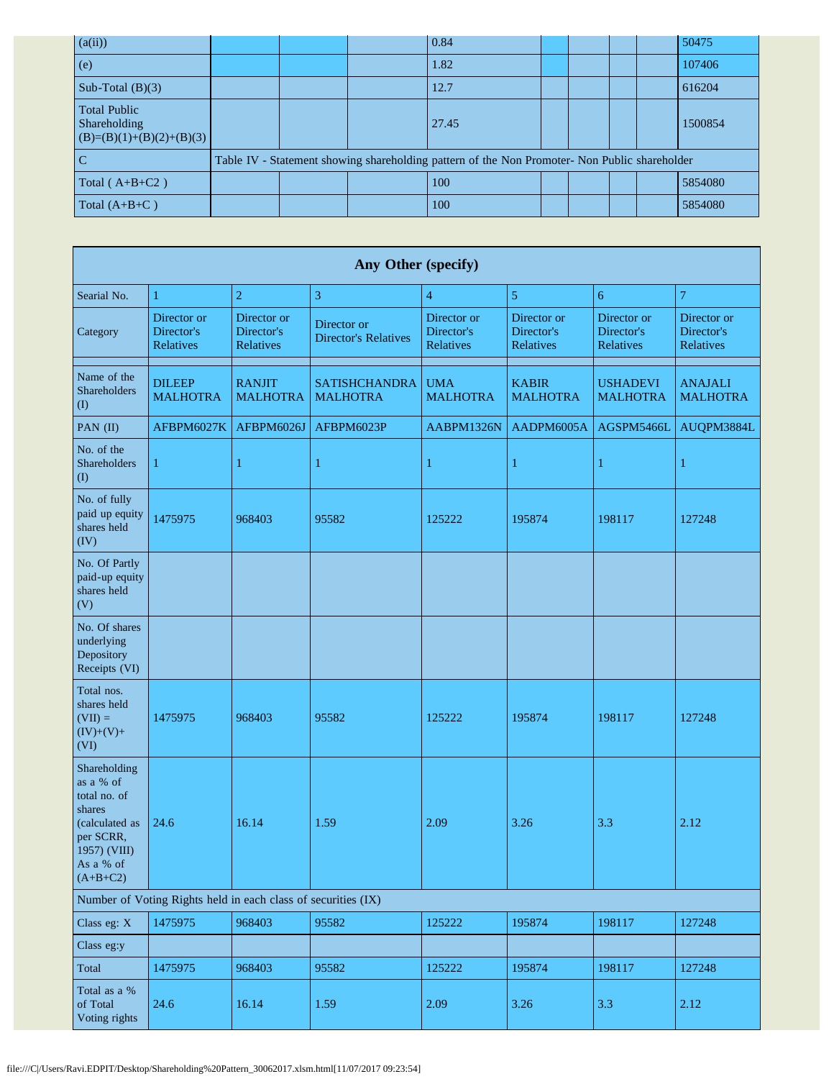| (a(ii))                                                           |  | 0.84                                                                                          |  |  | 50475   |
|-------------------------------------------------------------------|--|-----------------------------------------------------------------------------------------------|--|--|---------|
| (e)                                                               |  | 1.82                                                                                          |  |  | 107406  |
| Sub-Total $(B)(3)$                                                |  | 12.7                                                                                          |  |  | 616204  |
| <b>Total Public</b><br>Shareholding<br>$(B)=(B)(1)+(B)(2)+(B)(3)$ |  | 27.45                                                                                         |  |  | 1500854 |
|                                                                   |  | Table IV - Statement showing shareholding pattern of the Non Promoter- Non Public shareholder |  |  |         |
| Total ( $A+B+C2$ )                                                |  | 100                                                                                           |  |  | 5854080 |
| Total $(A+B+C)$                                                   |  | 100                                                                                           |  |  | 5854080 |

| <b>Any Other (specify)</b>                                                                                                    |                                                               |                                        |                                            |                                        |                                               |                                               |                                               |  |  |  |  |  |
|-------------------------------------------------------------------------------------------------------------------------------|---------------------------------------------------------------|----------------------------------------|--------------------------------------------|----------------------------------------|-----------------------------------------------|-----------------------------------------------|-----------------------------------------------|--|--|--|--|--|
| Searial No.                                                                                                                   | 1                                                             | $\overline{2}$                         | 3                                          | $\overline{4}$                         | 5                                             | 6                                             | $\overline{7}$                                |  |  |  |  |  |
| Category                                                                                                                      | Director or<br>Director's<br>Relatives                        | Director or<br>Director's<br>Relatives | Director or<br><b>Director's Relatives</b> | Director or<br>Director's<br>Relatives | Director or<br>Director's<br><b>Relatives</b> | Director or<br>Director's<br><b>Relatives</b> | Director or<br>Director's<br><b>Relatives</b> |  |  |  |  |  |
| Name of the<br>Shareholders<br>(I)                                                                                            | <b>DILEEP</b><br><b>MALHOTRA</b>                              | <b>RANJIT</b><br><b>MALHOTRA</b>       | <b>SATISHCHANDRA</b><br><b>MALHOTRA</b>    | <b>UMA</b><br><b>MALHOTRA</b>          | <b>KABIR</b><br><b>MALHOTRA</b>               | <b>USHADEVI</b><br><b>MALHOTRA</b>            | <b>ANAJALI</b><br><b>MALHOTRA</b>             |  |  |  |  |  |
| PAN (II)                                                                                                                      | AFBPM6027K                                                    | AFBPM6026J                             | AFBPM6023P                                 | AABPM1326N                             | AADPM6005A                                    | AGSPM5466L                                    | AUQPM3884L                                    |  |  |  |  |  |
| No. of the<br>Shareholders<br>$($ $\Gamma$                                                                                    | 1                                                             | $\mathbf{1}$                           | $\mathbf{1}$                               | 1                                      | 1                                             | 1                                             | 1                                             |  |  |  |  |  |
| No. of fully<br>paid up equity<br>shares held<br>(IV)                                                                         | 1475975                                                       | 968403                                 | 95582                                      | 125222                                 | 195874                                        | 198117                                        | 127248                                        |  |  |  |  |  |
| No. Of Partly<br>paid-up equity<br>shares held<br>(V)                                                                         |                                                               |                                        |                                            |                                        |                                               |                                               |                                               |  |  |  |  |  |
| No. Of shares<br>underlying<br>Depository<br>Receipts (VI)                                                                    |                                                               |                                        |                                            |                                        |                                               |                                               |                                               |  |  |  |  |  |
| Total nos.<br>shares held<br>$(VII) =$<br>$(IV)+(V)+$<br>(VI)                                                                 | 1475975                                                       | 968403                                 | 95582                                      | 125222                                 | 195874                                        | 198117                                        | 127248                                        |  |  |  |  |  |
| Shareholding<br>as a % of<br>total no. of<br>shares<br>(calculated as<br>per SCRR,<br>1957) (VIII)<br>As a % of<br>$(A+B+C2)$ | 24.6                                                          | 16.14                                  | 1.59                                       | 2.09                                   | 3.26                                          | 3.3                                           | 2.12                                          |  |  |  |  |  |
|                                                                                                                               | Number of Voting Rights held in each class of securities (IX) |                                        |                                            |                                        |                                               |                                               |                                               |  |  |  |  |  |
| Class eg: X                                                                                                                   | 1475975                                                       | 968403                                 | 95582                                      | 125222                                 | 195874                                        | 198117                                        | 127248                                        |  |  |  |  |  |
| Class eg:y                                                                                                                    |                                                               |                                        |                                            |                                        |                                               |                                               |                                               |  |  |  |  |  |
| Total                                                                                                                         | 1475975                                                       | 968403                                 | 95582                                      | 125222                                 | 195874                                        | 198117                                        | 127248                                        |  |  |  |  |  |
| Total as a %<br>of Total<br>Voting rights                                                                                     | 24.6                                                          | 16.14                                  | 1.59                                       | 2.09                                   | 3.26                                          | 3.3                                           | 2.12                                          |  |  |  |  |  |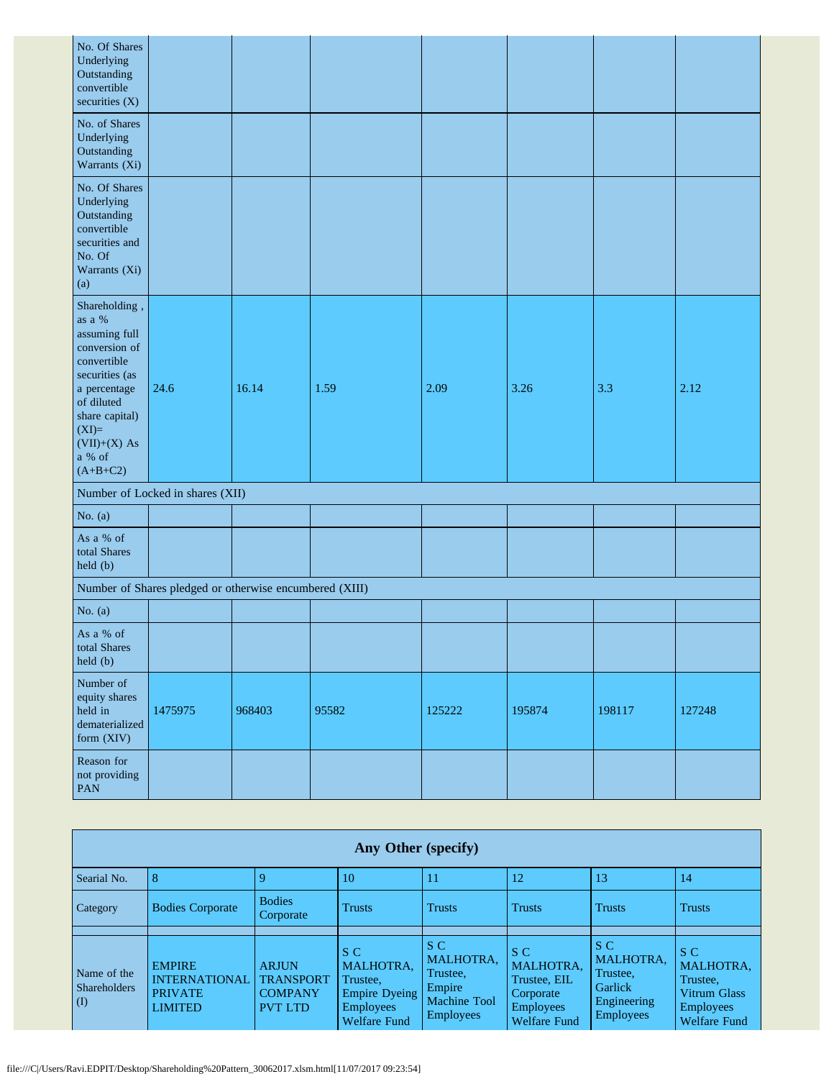| No. Of Shares<br>Underlying<br>Outstanding<br>convertible<br>securities (X)                                                                                                                     |                                                         |        |       |        |        |        |        |
|-------------------------------------------------------------------------------------------------------------------------------------------------------------------------------------------------|---------------------------------------------------------|--------|-------|--------|--------|--------|--------|
| No. of Shares<br>Underlying<br>Outstanding<br>Warrants (Xi)                                                                                                                                     |                                                         |        |       |        |        |        |        |
| No. Of Shares<br>Underlying<br>Outstanding<br>convertible<br>securities and<br>No. Of<br>Warrants (Xi)<br>(a)                                                                                   |                                                         |        |       |        |        |        |        |
| Shareholding,<br>as a %<br>assuming full<br>conversion of<br>convertible<br>securities (as<br>a percentage<br>of diluted<br>share capital)<br>$(XI)=$<br>$(VII)+(X) As$<br>a % of<br>$(A+B+C2)$ | 24.6                                                    | 16.14  | 1.59  | 2.09   | 3.26   | 3.3    | 2.12   |
|                                                                                                                                                                                                 | Number of Locked in shares (XII)                        |        |       |        |        |        |        |
| No. $(a)$                                                                                                                                                                                       |                                                         |        |       |        |        |        |        |
| As a % of<br>total Shares<br>held (b)                                                                                                                                                           |                                                         |        |       |        |        |        |        |
|                                                                                                                                                                                                 | Number of Shares pledged or otherwise encumbered (XIII) |        |       |        |        |        |        |
| No. $(a)$                                                                                                                                                                                       |                                                         |        |       |        |        |        |        |
| As a % of<br>total Shares<br>held (b)                                                                                                                                                           |                                                         |        |       |        |        |        |        |
| Number of<br>equity shares<br>held in<br>dematerialized<br>form (XIV)                                                                                                                           | 1475975                                                 | 968403 | 95582 | 125222 | 195874 | 198117 | 127248 |
| Reason for<br>not providing<br>PAN                                                                                                                                                              |                                                         |        |       |        |        |        |        |

|                                                                 | Any Other (specify)                                                       |                                                                      |                                                                                                 |                                                                                   |                                                                                                 |                                                                                   |                                                                                         |  |  |  |  |  |
|-----------------------------------------------------------------|---------------------------------------------------------------------------|----------------------------------------------------------------------|-------------------------------------------------------------------------------------------------|-----------------------------------------------------------------------------------|-------------------------------------------------------------------------------------------------|-----------------------------------------------------------------------------------|-----------------------------------------------------------------------------------------|--|--|--|--|--|
| Searial No.                                                     | 8                                                                         |                                                                      | 10                                                                                              |                                                                                   | 12                                                                                              | 13                                                                                | 14                                                                                      |  |  |  |  |  |
| Category                                                        | <b>Bodies Corporate</b>                                                   | <b>Bodies</b><br>Corporate                                           | <b>Trusts</b>                                                                                   | <b>Trusts</b>                                                                     | <b>Trusts</b>                                                                                   | <b>Trusts</b>                                                                     | <b>Trusts</b>                                                                           |  |  |  |  |  |
|                                                                 |                                                                           |                                                                      |                                                                                                 |                                                                                   |                                                                                                 |                                                                                   |                                                                                         |  |  |  |  |  |
| Name of the<br><b>Shareholders</b><br>$\mathcal{L}(\mathbf{I})$ | <b>EMPIRE</b><br><b>INTERNATIONAL</b><br><b>PRIVATE</b><br><b>LIMITED</b> | <b>ARJUN</b><br><b>TRANSPORT</b><br><b>COMPANY</b><br><b>PVT LTD</b> | S C<br><b>MALHOTRA.</b><br>Trustee,<br>Empire Dyeing<br><b>Employees</b><br><b>Welfare Fund</b> | S C<br><b>MALHOTRA,</b><br>Trustee,<br>Empire<br><b>Machine Tool</b><br>Employees | S C<br><b>MALHOTRA.</b><br>Trustee, EIL<br>Corporate<br><b>Employees</b><br><b>Welfare Fund</b> | S C<br><b>MALHOTRA.</b><br>Trustee,<br>Garlick<br>Engineering<br><b>Employees</b> | S C<br>MALHOTRA.<br>Trustee,<br>Vitrum Glass<br><b>Employees</b><br><b>Welfare Fund</b> |  |  |  |  |  |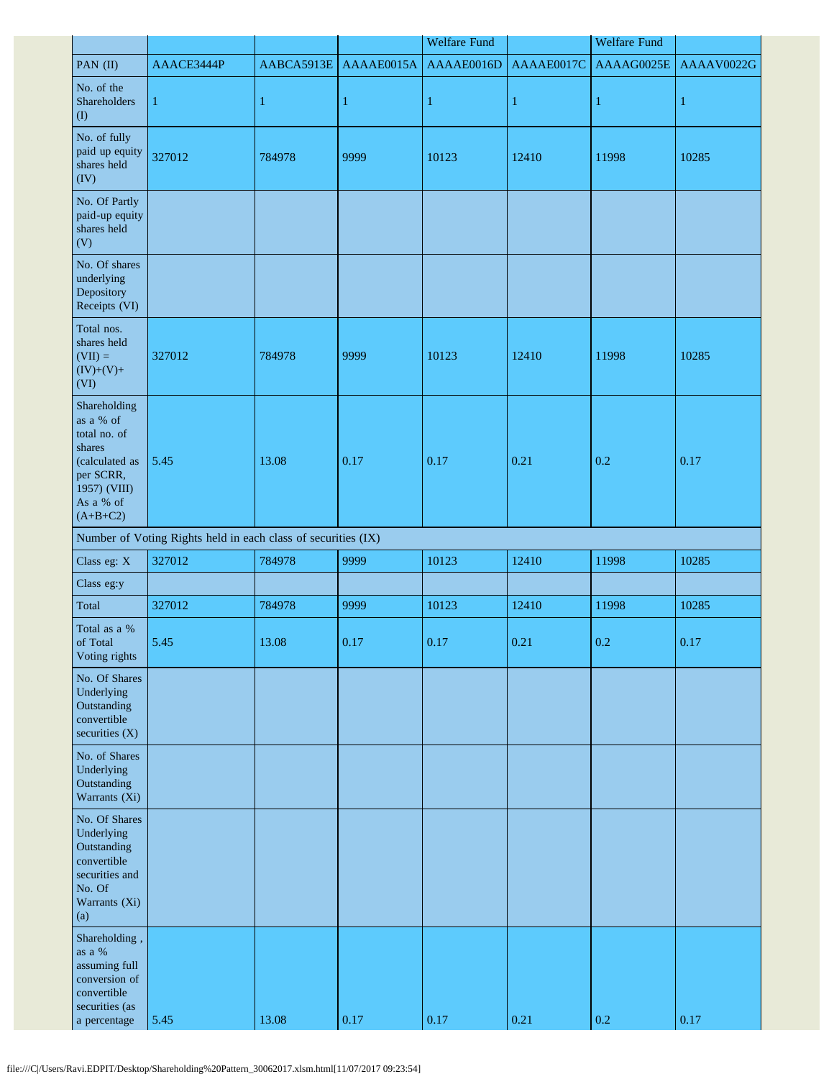|                                                                                                                               |                                                               |              |              | <b>Welfare Fund</b> |              | <b>Welfare Fund</b> |            |
|-------------------------------------------------------------------------------------------------------------------------------|---------------------------------------------------------------|--------------|--------------|---------------------|--------------|---------------------|------------|
| PAN (II)                                                                                                                      | AAACE3444P                                                    | AABCA5913E   | AAAAE0015A   | AAAAE0016D          | AAAAE0017C   | AAAAG0025E          | AAAAV0022G |
| No. of the<br>Shareholders<br>$($ I                                                                                           | $\mathbf{1}$                                                  | $\mathbf{1}$ | $\mathbf{1}$ | $\mathbf{1}$        | $\mathbf{1}$ | 1                   | 1          |
| No. of fully<br>paid up equity<br>shares held<br>(IV)                                                                         | 327012                                                        | 784978       | 9999         | 10123               | 12410        | 11998               | 10285      |
| No. Of Partly<br>paid-up equity<br>shares held<br>(V)                                                                         |                                                               |              |              |                     |              |                     |            |
| No. Of shares<br>underlying<br>Depository<br>Receipts (VI)                                                                    |                                                               |              |              |                     |              |                     |            |
| Total nos.<br>shares held<br>$(VII) =$<br>$(IV)+(V)+$<br>(VI)                                                                 | 327012                                                        | 784978       | 9999         | 10123               | 12410        | 11998               | 10285      |
| Shareholding<br>as a % of<br>total no. of<br>shares<br>(calculated as<br>per SCRR,<br>1957) (VIII)<br>As a % of<br>$(A+B+C2)$ | 5.45                                                          | 13.08        | 0.17         | 0.17                | 0.21         | 0.2                 | 0.17       |
|                                                                                                                               | Number of Voting Rights held in each class of securities (IX) |              |              |                     |              |                     |            |
| Class eg: X                                                                                                                   | 327012                                                        | 784978       | 9999         | 10123               | 12410        | 11998               | 10285      |
| Class eg:y                                                                                                                    |                                                               |              |              |                     |              |                     |            |
| Total                                                                                                                         | 327012                                                        | 784978       | 9999         | 10123               | 12410        | 11998               | 10285      |
| Total as a %<br>of Total<br>Voting rights                                                                                     | 5.45                                                          | 13.08        | 0.17         | 0.17                | 0.21         | 0.2                 | 0.17       |
| No. Of Shares<br>Underlying<br>Outstanding<br>convertible<br>securities $(X)$                                                 |                                                               |              |              |                     |              |                     |            |
| No. of Shares<br>Underlying<br>Outstanding<br>Warrants (Xi)                                                                   |                                                               |              |              |                     |              |                     |            |
| No. Of Shares<br>Underlying<br>Outstanding<br>convertible<br>securities and<br>No. Of<br>Warrants (Xi)<br>(a)                 |                                                               |              |              |                     |              |                     |            |
| Shareholding,<br>as a $\%$<br>assuming full<br>conversion of<br>convertible<br>securities (as<br>a percentage                 | 5.45                                                          | 13.08        | $0.17\,$     | $0.17\,$            | 0.21         | 0.2                 | 0.17       |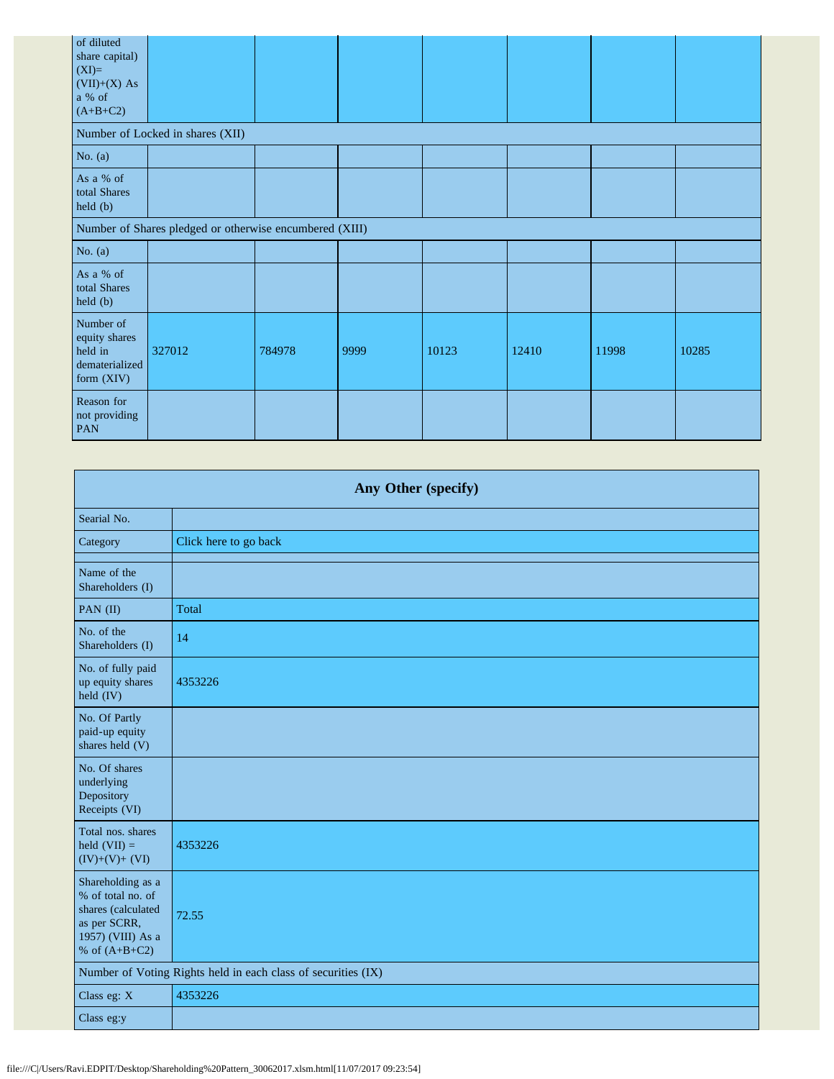| of diluted<br>share capital)<br>$(XI)=$<br>$(VII)+(X) As$<br>a % of<br>$(A+B+C2)$ |                                                         |        |      |       |       |       |       |
|-----------------------------------------------------------------------------------|---------------------------------------------------------|--------|------|-------|-------|-------|-------|
|                                                                                   | Number of Locked in shares (XII)                        |        |      |       |       |       |       |
| No. $(a)$                                                                         |                                                         |        |      |       |       |       |       |
| As a % of<br>total Shares<br>held (b)                                             |                                                         |        |      |       |       |       |       |
|                                                                                   | Number of Shares pledged or otherwise encumbered (XIII) |        |      |       |       |       |       |
| No. $(a)$                                                                         |                                                         |        |      |       |       |       |       |
| As a % of<br>total Shares<br>held (b)                                             |                                                         |        |      |       |       |       |       |
| Number of<br>equity shares<br>held in<br>dematerialized<br>form (XIV)             | 327012                                                  | 784978 | 9999 | 10123 | 12410 | 11998 | 10285 |
| Reason for<br>not providing<br><b>PAN</b>                                         |                                                         |        |      |       |       |       |       |

| Any Other (specify)                                                                                                  |                                                               |  |  |  |  |  |
|----------------------------------------------------------------------------------------------------------------------|---------------------------------------------------------------|--|--|--|--|--|
| Searial No.                                                                                                          |                                                               |  |  |  |  |  |
| Category                                                                                                             | Click here to go back                                         |  |  |  |  |  |
| Name of the<br>Shareholders (I)                                                                                      |                                                               |  |  |  |  |  |
| PAN (II)                                                                                                             | Total                                                         |  |  |  |  |  |
| No. of the<br>Shareholders (I)                                                                                       | 14                                                            |  |  |  |  |  |
| No. of fully paid<br>up equity shares<br>held (IV)                                                                   | 4353226                                                       |  |  |  |  |  |
| No. Of Partly<br>paid-up equity<br>shares held (V)                                                                   |                                                               |  |  |  |  |  |
| No. Of shares<br>underlying<br>Depository<br>Receipts (VI)                                                           |                                                               |  |  |  |  |  |
| Total nos. shares<br>held $(VII) =$<br>$(IV)+(V)+(VI)$                                                               | 4353226                                                       |  |  |  |  |  |
| Shareholding as a<br>% of total no. of<br>shares (calculated<br>as per SCRR,<br>1957) (VIII) As a<br>% of $(A+B+C2)$ | 72.55                                                         |  |  |  |  |  |
|                                                                                                                      | Number of Voting Rights held in each class of securities (IX) |  |  |  |  |  |
| Class eg: X                                                                                                          | 4353226                                                       |  |  |  |  |  |
| Class eg:y                                                                                                           |                                                               |  |  |  |  |  |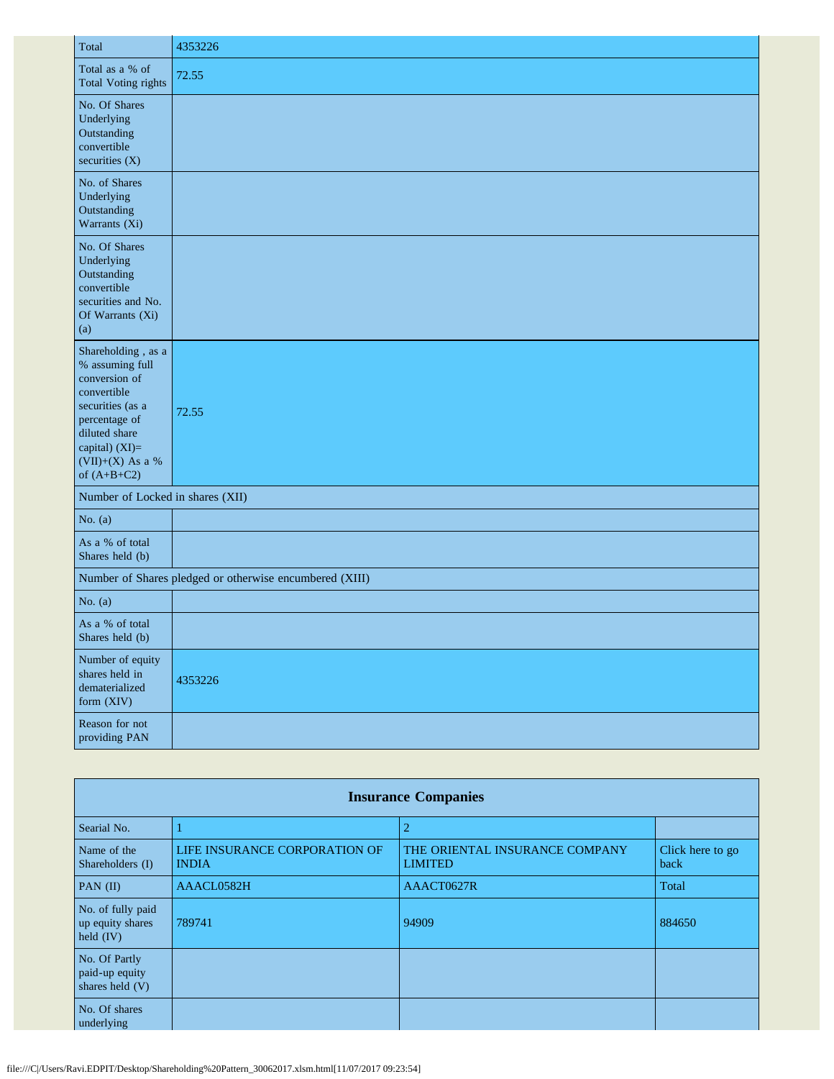| Total                                                                                                                                                                              | 4353226                                                 |
|------------------------------------------------------------------------------------------------------------------------------------------------------------------------------------|---------------------------------------------------------|
| Total as a % of<br><b>Total Voting rights</b>                                                                                                                                      | 72.55                                                   |
| No. Of Shares<br>Underlying<br>Outstanding<br>convertible<br>securities (X)                                                                                                        |                                                         |
| No. of Shares<br>Underlying<br>Outstanding<br>Warrants (Xi)                                                                                                                        |                                                         |
| No. Of Shares<br>Underlying<br>Outstanding<br>convertible<br>securities and No.<br>Of Warrants (Xi)<br>(a)                                                                         |                                                         |
| Shareholding, as a<br>% assuming full<br>conversion of<br>convertible<br>securities (as a<br>percentage of<br>diluted share<br>capital) (XI)=<br>(VII)+(X) As a %<br>of $(A+B+C2)$ | 72.55                                                   |
| Number of Locked in shares (XII)                                                                                                                                                   |                                                         |
| No. $(a)$                                                                                                                                                                          |                                                         |
| As a % of total<br>Shares held (b)                                                                                                                                                 |                                                         |
|                                                                                                                                                                                    | Number of Shares pledged or otherwise encumbered (XIII) |
| No. $(a)$                                                                                                                                                                          |                                                         |
| As a % of total<br>Shares held (b)                                                                                                                                                 |                                                         |
| Number of equity<br>shares held in<br>dematerialized<br>form (XIV)                                                                                                                 | 4353226                                                 |
| Reason for not<br>providing PAN                                                                                                                                                    |                                                         |

| <b>Insurance Companies</b>                           |                                               |                                                  |                          |  |  |  |  |
|------------------------------------------------------|-----------------------------------------------|--------------------------------------------------|--------------------------|--|--|--|--|
| Searial No.                                          |                                               | $\overline{2}$                                   |                          |  |  |  |  |
| Name of the<br>Shareholders (I)                      | LIFE INSURANCE CORPORATION OF<br><b>INDIA</b> | THE ORIENTAL INSURANCE COMPANY<br><b>LIMITED</b> | Click here to go<br>back |  |  |  |  |
| PAN $(II)$                                           | AAACL0582H                                    | AAACT0627R                                       | Total                    |  |  |  |  |
| No. of fully paid<br>up equity shares<br>held $(IV)$ | 789741                                        | 94909                                            | 884650                   |  |  |  |  |
| No. Of Partly<br>paid-up equity<br>shares held $(V)$ |                                               |                                                  |                          |  |  |  |  |
| No. Of shares<br>underlying                          |                                               |                                                  |                          |  |  |  |  |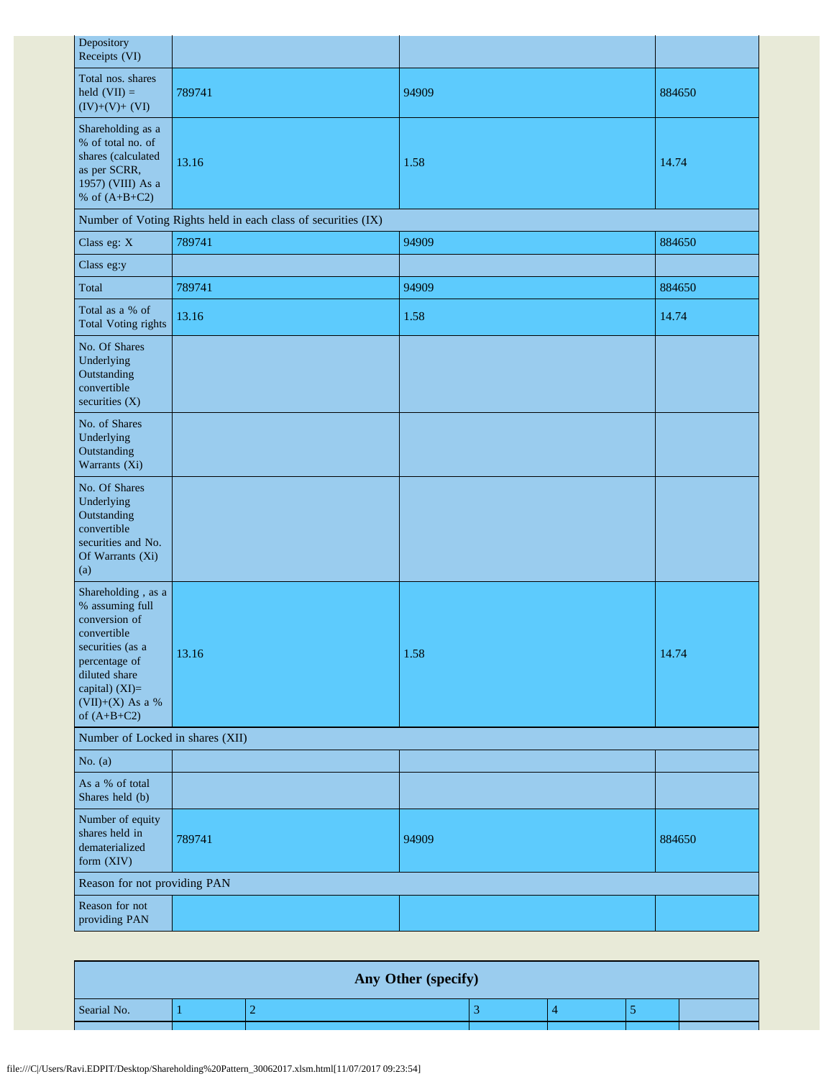| Depository<br>Receipts (VI)                                                                                                                                                         |                                                               |       |        |
|-------------------------------------------------------------------------------------------------------------------------------------------------------------------------------------|---------------------------------------------------------------|-------|--------|
| Total nos. shares<br>held $(VII) =$<br>$(IV)+(V)+(VI)$                                                                                                                              | 789741                                                        | 94909 | 884650 |
| Shareholding as a<br>% of total no. of<br>shares (calculated<br>as per SCRR,<br>1957) (VIII) As a<br>% of $(A+B+C2)$                                                                | 13.16                                                         | 1.58  | 14.74  |
|                                                                                                                                                                                     | Number of Voting Rights held in each class of securities (IX) |       |        |
| Class eg: X                                                                                                                                                                         | 789741                                                        | 94909 | 884650 |
| Class eg:y                                                                                                                                                                          |                                                               |       |        |
| Total                                                                                                                                                                               | 789741                                                        | 94909 | 884650 |
| Total as a % of<br><b>Total Voting rights</b>                                                                                                                                       | 13.16                                                         | 1.58  | 14.74  |
| No. Of Shares<br>Underlying<br>Outstanding<br>convertible<br>securities (X)                                                                                                         |                                                               |       |        |
| No. of Shares<br>Underlying<br>Outstanding<br>Warrants (Xi)                                                                                                                         |                                                               |       |        |
| No. Of Shares<br>Underlying<br>Outstanding<br>convertible<br>securities and No.<br>Of Warrants (Xi)<br>(a)                                                                          |                                                               |       |        |
| Shareholding , as a<br>% assuming full<br>conversion of<br>convertible<br>securities (as a<br>percentage of<br>diluted share<br>capital) (XI)=<br>(VII)+(X) As a %<br>of $(A+B+C2)$ | 13.16                                                         | 1.58  | 14.74  |
| Number of Locked in shares (XII)                                                                                                                                                    |                                                               |       |        |
| No. $(a)$                                                                                                                                                                           |                                                               |       |        |
| As a % of total<br>Shares held (b)                                                                                                                                                  |                                                               |       |        |
| Number of equity<br>shares held in<br>dematerialized<br>form (XIV)                                                                                                                  | 789741                                                        | 94909 | 884650 |
| Reason for not providing PAN                                                                                                                                                        |                                                               |       |        |
| Reason for not<br>providing PAN                                                                                                                                                     |                                                               |       |        |

| Any Other (specify) |  |  |  |  |  |  |
|---------------------|--|--|--|--|--|--|
| Searial No.         |  |  |  |  |  |  |
|                     |  |  |  |  |  |  |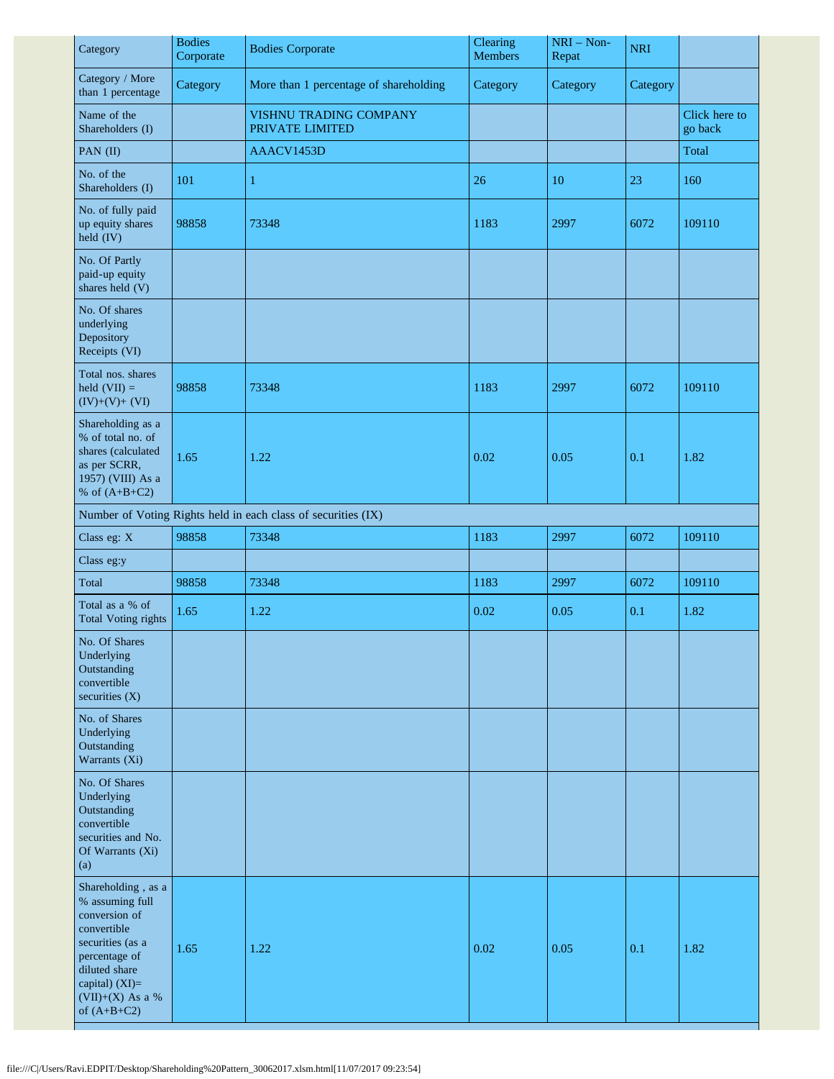| Category                                                                                                                                                                               | <b>Bodies</b><br>Corporate | <b>Bodies Corporate</b>                                       | Clearing<br><b>Members</b> | $NRI - Non-$<br>Repat | <b>NRI</b> |                          |
|----------------------------------------------------------------------------------------------------------------------------------------------------------------------------------------|----------------------------|---------------------------------------------------------------|----------------------------|-----------------------|------------|--------------------------|
| Category / More<br>than 1 percentage                                                                                                                                                   | Category                   | More than 1 percentage of shareholding                        | Category                   | Category              | Category   |                          |
| Name of the<br>Shareholders (I)                                                                                                                                                        |                            | VISHNU TRADING COMPANY<br>PRIVATE LIMITED                     |                            |                       |            | Click here to<br>go back |
| PAN (II)                                                                                                                                                                               |                            | AAACV1453D                                                    |                            |                       |            | Total                    |
| No. of the<br>Shareholders (I)                                                                                                                                                         | 101                        | 1                                                             | 26                         | 10                    | 23         | 160                      |
| No. of fully paid<br>up equity shares<br>held (IV)                                                                                                                                     | 98858                      | 73348                                                         | 1183                       | 2997                  | 6072       | 109110                   |
| No. Of Partly<br>paid-up equity<br>shares held (V)                                                                                                                                     |                            |                                                               |                            |                       |            |                          |
| No. Of shares<br>underlying<br>Depository<br>Receipts (VI)                                                                                                                             |                            |                                                               |                            |                       |            |                          |
| Total nos. shares<br>held $(VII) =$<br>$(IV)+(V)+(VI)$                                                                                                                                 | 98858                      | 73348                                                         | 1183                       | 2997                  | 6072       | 109110                   |
| Shareholding as a<br>% of total no. of<br>shares (calculated<br>as per SCRR,<br>1957) (VIII) As a<br>% of $(A+B+C2)$                                                                   | 1.65                       | 1.22                                                          | 0.02                       | 0.05                  | 0.1        | 1.82                     |
|                                                                                                                                                                                        |                            | Number of Voting Rights held in each class of securities (IX) |                            |                       |            |                          |
| Class eg: X                                                                                                                                                                            | 98858                      | 73348                                                         | 1183                       | 2997                  | 6072       | 109110                   |
| Class eg:y                                                                                                                                                                             |                            |                                                               |                            |                       |            |                          |
| Total                                                                                                                                                                                  | 98858                      | 73348                                                         | 1183                       | 2997                  | 6072       | 109110                   |
| Total as a % of<br><b>Total Voting rights</b>                                                                                                                                          | 1.65                       | 1.22                                                          | 0.02                       | 0.05                  | 0.1        | 1.82                     |
| No. Of Shares<br>Underlying<br>Outstanding<br>convertible<br>securities $(X)$                                                                                                          |                            |                                                               |                            |                       |            |                          |
| No. of Shares<br>Underlying<br>Outstanding<br>Warrants (Xi)                                                                                                                            |                            |                                                               |                            |                       |            |                          |
| No. Of Shares<br>Underlying<br>Outstanding<br>convertible<br>securities and No.<br>Of Warrants (Xi)<br>(a)                                                                             |                            |                                                               |                            |                       |            |                          |
| Shareholding, as a<br>% assuming full<br>conversion of<br>convertible<br>securities (as a<br>percentage of<br>diluted share<br>capital) $(XI)=$<br>$(VII)+(X)$ As a %<br>of $(A+B+C2)$ | 1.65                       | 1.22                                                          | 0.02                       | 0.05                  | 0.1        | 1.82                     |